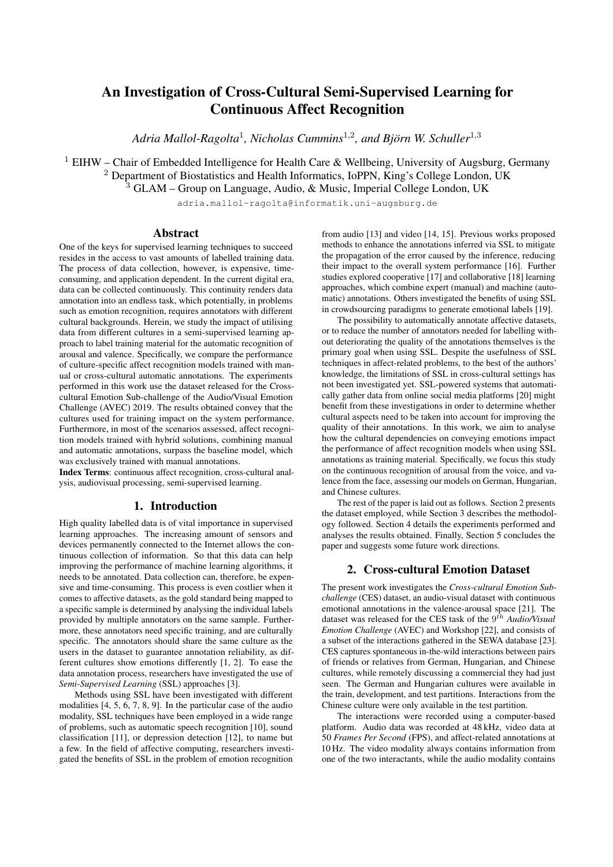# An Investigation of Cross-Cultural Semi-Supervised Learning for Continuous Affect Recognition

Adria Mallol-Ragolta<sup>1</sup>, Nicholas Cummins<sup>1,2</sup>, and Björn W. Schuller<sup>1,3</sup>

<sup>1</sup> EIHW – Chair of Embedded Intelligence for Health Care & Wellbeing, University of Augsburg, Germany <sup>2</sup> Department of Biostatistics and Health Informatics, IoPPN, King's College London, UK

<sup>3</sup> GLAM – Group on Language, Audio, & Music, Imperial College London, UK

adria.mallol-ragolta@informatik.uni-augsburg.de

#### Abstract

One of the keys for supervised learning techniques to succeed resides in the access to vast amounts of labelled training data. The process of data collection, however, is expensive, timeconsuming, and application dependent. In the current digital era, data can be collected continuously. This continuity renders data annotation into an endless task, which potentially, in problems such as emotion recognition, requires annotators with different cultural backgrounds. Herein, we study the impact of utilising data from different cultures in a semi-supervised learning approach to label training material for the automatic recognition of arousal and valence. Specifically, we compare the performance of culture-specific affect recognition models trained with manual or cross-cultural automatic annotations. The experiments performed in this work use the dataset released for the Crosscultural Emotion Sub-challenge of the Audio/Visual Emotion Challenge (AVEC) 2019. The results obtained convey that the cultures used for training impact on the system performance. Furthermore, in most of the scenarios assessed, affect recognition models trained with hybrid solutions, combining manual and automatic annotations, surpass the baseline model, which was exclusively trained with manual annotations.

Index Terms: continuous affect recognition, cross-cultural analysis, audiovisual processing, semi-supervised learning.

# 1. Introduction

High quality labelled data is of vital importance in supervised learning approaches. The increasing amount of sensors and devices permanently connected to the Internet allows the continuous collection of information. So that this data can help improving the performance of machine learning algorithms, it needs to be annotated. Data collection can, therefore, be expensive and time-consuming. This process is even costlier when it comes to affective datasets, as the gold standard being mapped to a specific sample is determined by analysing the individual labels provided by multiple annotators on the same sample. Furthermore, these annotators need specific training, and are culturally specific. The annotators should share the same culture as the users in the dataset to guarantee annotation reliability, as different cultures show emotions differently [1, 2]. To ease the data annotation process, researchers have investigated the use of *Semi-Supervised Learning* (SSL) approaches [3].

Methods using SSL have been investigated with different modalities [4, 5, 6, 7, 8, 9]. In the particular case of the audio modality, SSL techniques have been employed in a wide range of problems, such as automatic speech recognition [10], sound classification [11], or depression detection [12], to name but a few. In the field of affective computing, researchers investigated the benefits of SSL in the problem of emotion recognition from audio [13] and video [14, 15]. Previous works proposed methods to enhance the annotations inferred via SSL to mitigate the propagation of the error caused by the inference, reducing their impact to the overall system performance [16]. Further studies explored cooperative [17] and collaborative [18] learning approaches, which combine expert (manual) and machine (automatic) annotations. Others investigated the benefits of using SSL in crowdsourcing paradigms to generate emotional labels [19].

The possibility to automatically annotate affective datasets, or to reduce the number of annotators needed for labelling without deteriorating the quality of the annotations themselves is the primary goal when using SSL. Despite the usefulness of SSL techniques in affect-related problems, to the best of the authors' knowledge, the limitations of SSL in cross-cultural settings has not been investigated yet. SSL-powered systems that automatically gather data from online social media platforms [20] might benefit from these investigations in order to determine whether cultural aspects need to be taken into account for improving the quality of their annotations. In this work, we aim to analyse how the cultural dependencies on conveying emotions impact the performance of affect recognition models when using SSL annotations as training material. Specifically, we focus this study on the continuous recognition of arousal from the voice, and valence from the face, assessing our models on German, Hungarian, and Chinese cultures.

The rest of the paper is laid out as follows. Section 2 presents the dataset employed, while Section 3 describes the methodology followed. Section 4 details the experiments performed and analyses the results obtained. Finally, Section 5 concludes the paper and suggests some future work directions.

#### 2. Cross-cultural Emotion Dataset

The present work investigates the *Cross-cultural Emotion Subchallenge* (CES) dataset, an audio-visual dataset with continuous emotional annotations in the valence-arousal space [21]. The dataset was released for the CES task of the 9<sup>th</sup> *Audio/Visual Emotion Challenge* (AVEC) and Workshop [22], and consists of a subset of the interactions gathered in the SEWA database [23]. CES captures spontaneous in-the-wild interactions between pairs of friends or relatives from German, Hungarian, and Chinese cultures, while remotely discussing a commercial they had just seen. The German and Hungarian cultures were available in the train, development, and test partitions. Interactions from the Chinese culture were only available in the test partition.

The interactions were recorded using a computer-based platform. Audio data was recorded at 48 kHz, video data at 50 *Frames Per Second* (FPS), and affect-related annotations at 10 Hz. The video modality always contains information from one of the two interactants, while the audio modality contains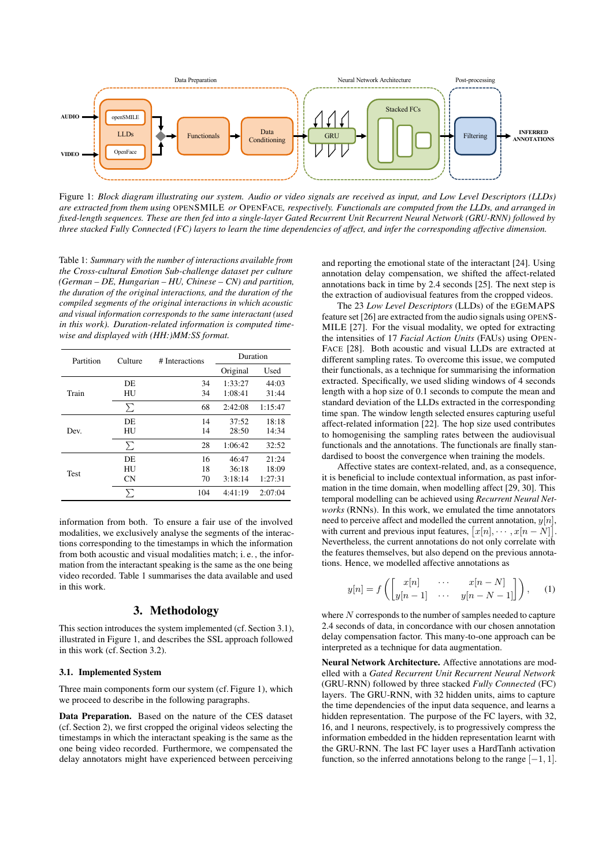

Figure 1: *Block diagram illustrating our system. Audio or video signals are received as input, and Low Level Descriptors (LLDs) are extracted from them using* OPENSMILE *or* OPENFACE*, respectively. Functionals are computed from the LLDs, and arranged in fixed-length sequences. These are then fed into a single-layer Gated Recurrent Unit Recurrent Neural Network (GRU-RNN) followed by three stacked Fully Connected (FC) layers to learn the time dependencies of affect, and infer the corresponding affective dimension.*

Table 1: *Summary with the number of interactions available from the Cross-cultural Emotion Sub-challenge dataset per culture (German – DE, Hungarian – HU, Chinese – CN) and partition, the duration of the original interactions, and the duration of the compiled segments of the original interactions in which acoustic and visual information corresponds to the same interactant (used in this work). Duration-related information is computed timewise and displayed with (HH:)MM:SS format.*

| Partition   | Culture | # Interactions | Duration |         |  |
|-------------|---------|----------------|----------|---------|--|
|             |         |                | Original | Used    |  |
|             | DE.     | 34             | 1:33:27  | 44:03   |  |
| Train       | HU      | 34             | 1:08:41  | 31:44   |  |
|             | Σ       | 68             | 2:42:08  | 1:15:47 |  |
|             | DE.     | 14             | 37:52    | 18:18   |  |
| Dev.        | HU      | 14             | 28:50    | 14:34   |  |
|             | Σ       | 28             | 1:06:42  | 32:52   |  |
|             | DE.     | 16             | 46:47    | 21:24   |  |
| <b>Test</b> | HU      | 18             | 36:18    | 18:09   |  |
|             | CN      | 70             | 3:18:14  | 1:27:31 |  |
|             | ∑       | 104            | 4:41:19  | 2:07:04 |  |

information from both. To ensure a fair use of the involved modalities, we exclusively analyse the segments of the interactions corresponding to the timestamps in which the information from both acoustic and visual modalities match; i. e. , the information from the interactant speaking is the same as the one being video recorded. Table 1 summarises the data available and used in this work.

# 3. Methodology

This section introduces the system implemented (cf. Section 3.1), illustrated in Figure 1, and describes the SSL approach followed in this work (cf. Section 3.2).

#### 3.1. Implemented System

Three main components form our system (cf. Figure 1), which we proceed to describe in the following paragraphs.

Data Preparation. Based on the nature of the CES dataset (cf. Section 2), we first cropped the original videos selecting the timestamps in which the interactant speaking is the same as the one being video recorded. Furthermore, we compensated the delay annotators might have experienced between perceiving and reporting the emotional state of the interactant [24]. Using annotation delay compensation, we shifted the affect-related annotations back in time by 2.4 seconds [25]. The next step is the extraction of audiovisual features from the cropped videos.

The 23 *Low Level Descriptors* (LLDs) of the EGEMAPS feature set [26] are extracted from the audio signals using OPENS-MILE [27]. For the visual modality, we opted for extracting the intensities of 17 *Facial Action Units* (FAUs) using OPEN-FACE [28]. Both acoustic and visual LLDs are extracted at different sampling rates. To overcome this issue, we computed their functionals, as a technique for summarising the information extracted. Specifically, we used sliding windows of 4 seconds length with a hop size of 0.1 seconds to compute the mean and standard deviation of the LLDs extracted in the corresponding time span. The window length selected ensures capturing useful affect-related information [22]. The hop size used contributes to homogenising the sampling rates between the audiovisual functionals and the annotations. The functionals are finally standardised to boost the convergence when training the models.

Affective states are context-related, and, as a consequence, it is beneficial to include contextual information, as past information in the time domain, when modelling affect [29, 30]. This temporal modelling can be achieved using *Recurrent Neural Networks* (RNNs). In this work, we emulated the time annotators need to perceive affect and modelled the current annotation,  $y[n]$ , with current and previous input features,  $[x[n], \cdots, x[n-N]]$ . Nevertheless, the current annotations do not only correlate with the features themselves, but also depend on the previous annotations. Hence, we modelled affective annotations as

$$
y[n] = f\left(\begin{bmatrix} x[n] & \cdots & x[n-N] \\ y[n-1] & \cdots & y[n-N-1] \end{bmatrix}\right), \quad (1)
$$

where  $N$  corresponds to the number of samples needed to capture 2.4 seconds of data, in concordance with our chosen annotation delay compensation factor. This many-to-one approach can be interpreted as a technique for data augmentation.

Neural Network Architecture. Affective annotations are modelled with a *Gated Recurrent Unit Recurrent Neural Network* (GRU-RNN) followed by three stacked *Fully Connected* (FC) layers. The GRU-RNN, with 32 hidden units, aims to capture the time dependencies of the input data sequence, and learns a hidden representation. The purpose of the FC layers, with 32, 16, and 1 neurons, respectively, is to progressively compress the information embedded in the hidden representation learnt with the GRU-RNN. The last FC layer uses a HardTanh activation function, so the inferred annotations belong to the range  $[-1, 1]$ .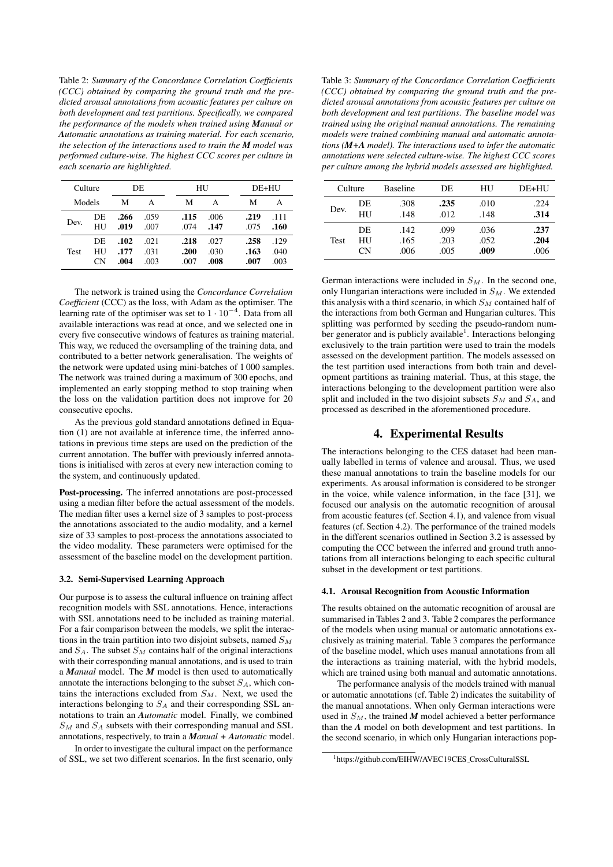Table 2: *Summary of the Concordance Correlation Coefficients (CCC) obtained by comparing the ground truth and the predicted arousal annotations from acoustic features per culture on both development and test partitions. Specifically, we compared the performance of the models when trained using Manual or Automatic annotations as training material. For each scenario, the selection of the interactions used to train the M model was performed culture-wise. The highest CCC scores per culture in each scenario are highlighted.*

|             | Culture<br>DE  |                      | HU                   |                      | DE+HU                |                      |                      |
|-------------|----------------|----------------------|----------------------|----------------------|----------------------|----------------------|----------------------|
| Models      |                | М                    | А                    | М                    | А                    | М                    | А                    |
| Dev.        | DE<br>HU       | .266<br>.019         | .059<br>.007         | .115<br>.074         | .006<br>.147         | .219<br>.075         | $-111$<br>.160       |
| <b>Test</b> | DE<br>HU<br>CΝ | .102<br>.177<br>.004 | .021<br>.031<br>.003 | .218<br>.200<br>.007 | .027<br>.030<br>.008 | .258<br>.163<br>.007 | .129<br>.040<br>.003 |

The network is trained using the *Concordance Correlation Coefficient* (CCC) as the loss, with Adam as the optimiser. The learning rate of the optimiser was set to  $1 \cdot 10^{-4}$ . Data from all available interactions was read at once, and we selected one in every five consecutive windows of features as training material. This way, we reduced the oversampling of the training data, and contributed to a better network generalisation. The weights of the network were updated using mini-batches of 1 000 samples. The network was trained during a maximum of 300 epochs, and implemented an early stopping method to stop training when the loss on the validation partition does not improve for 20 consecutive epochs.

As the previous gold standard annotations defined in Equation (1) are not available at inference time, the inferred annotations in previous time steps are used on the prediction of the current annotation. The buffer with previously inferred annotations is initialised with zeros at every new interaction coming to the system, and continuously updated.

Post-processing. The inferred annotations are post-processed using a median filter before the actual assessment of the models. The median filter uses a kernel size of 3 samples to post-process the annotations associated to the audio modality, and a kernel size of 33 samples to post-process the annotations associated to the video modality. These parameters were optimised for the assessment of the baseline model on the development partition.

#### 3.2. Semi-Supervised Learning Approach

Our purpose is to assess the cultural influence on training affect recognition models with SSL annotations. Hence, interactions with SSL annotations need to be included as training material. For a fair comparison between the models, we split the interactions in the train partition into two disjoint subsets, named  $S_M$ and  $S_A$ . The subset  $S_M$  contains half of the original interactions with their corresponding manual annotations, and is used to train a *Manual* model. The *M* model is then used to automatically annotate the interactions belonging to the subset  $S_A$ , which contains the interactions excluded from  $S_M$ . Next, we used the interactions belonging to  $S_A$  and their corresponding SSL annotations to train an *Automatic* model. Finally, we combined  $S_M$  and  $S_A$  subsets with their corresponding manual and SSL annotations, respectively, to train a *Manual + Automatic* model.

In order to investigate the cultural impact on the performance of SSL, we set two different scenarios. In the first scenario, only

Table 3: *Summary of the Concordance Correlation Coefficients (CCC) obtained by comparing the ground truth and the predicted arousal annotations from acoustic features per culture on both development and test partitions. The baseline model was trained using the original manual annotations. The remaining models were trained combining manual and automatic annotations (M+A model). The interactions used to infer the automatic annotations were selected culture-wise. The highest CCC scores per culture among the hybrid models assessed are highlighted.*

| Culture |           | <b>Baseline</b> | DE   | HU   | DE+HU |
|---------|-----------|-----------------|------|------|-------|
| Dev.    | DE        | .308            | .235 | .010 | .224  |
|         | <b>HU</b> | .148            | .012 | .148 | .314  |
| Test    | DE        | .142.           | .099 | .036 | .237  |
|         | HU        | .165            | .203 | .052 | .204  |
|         | СN        | .006            | .005 | .009 | .006  |

German interactions were included in  $S_M$ . In the second one, only Hungarian interactions were included in  $S_M$ . We extended this analysis with a third scenario, in which  $S<sub>M</sub>$  contained half of the interactions from both German and Hungarian cultures. This splitting was performed by seeding the pseudo-random number generator and is publicly available<sup>1</sup>. Interactions belonging exclusively to the train partition were used to train the models assessed on the development partition. The models assessed on the test partition used interactions from both train and development partitions as training material. Thus, at this stage, the interactions belonging to the development partition were also split and included in the two disjoint subsets  $S_M$  and  $S_A$ , and processed as described in the aforementioned procedure.

## 4. Experimental Results

The interactions belonging to the CES dataset had been manually labelled in terms of valence and arousal. Thus, we used these manual annotations to train the baseline models for our experiments. As arousal information is considered to be stronger in the voice, while valence information, in the face [31], we focused our analysis on the automatic recognition of arousal from acoustic features (cf. Section 4.1), and valence from visual features (cf. Section 4.2). The performance of the trained models in the different scenarios outlined in Section 3.2 is assessed by computing the CCC between the inferred and ground truth annotations from all interactions belonging to each specific cultural subset in the development or test partitions.

#### 4.1. Arousal Recognition from Acoustic Information

The results obtained on the automatic recognition of arousal are summarised in Tables 2 and 3. Table 2 compares the performance of the models when using manual or automatic annotations exclusively as training material. Table 3 compares the performance of the baseline model, which uses manual annotations from all the interactions as training material, with the hybrid models, which are trained using both manual and automatic annotations.

The performance analysis of the models trained with manual or automatic annotations (cf. Table 2) indicates the suitability of the manual annotations. When only German interactions were used in  $S_M$ , the trained M model achieved a better performance than the *A* model on both development and test partitions. In the second scenario, in which only Hungarian interactions pop-

<sup>1</sup>https://github.com/EIHW/AVEC19CES CrossCulturalSSL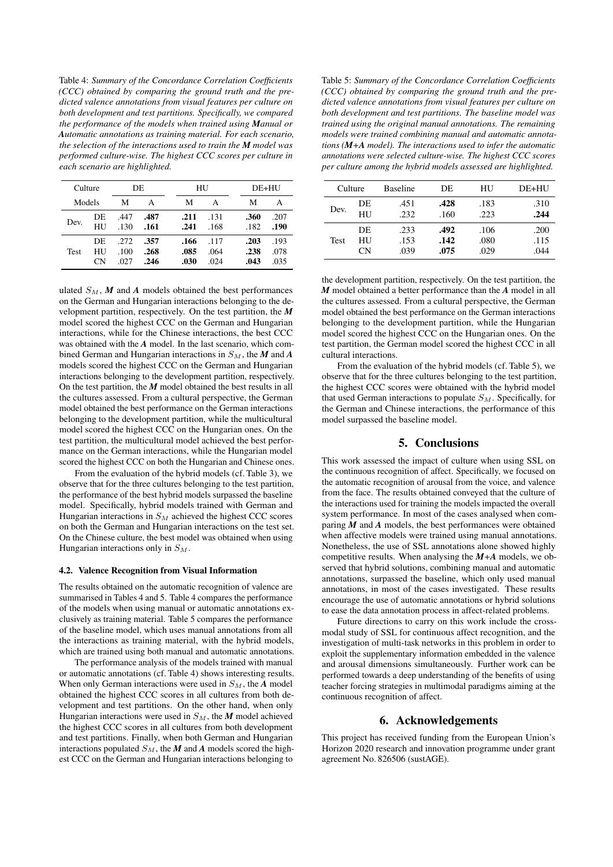Table 4: *Summary of the Concordance Correlation Coefficients (CCC) obtained by comparing the ground truth and the predicted valence annotations from visual features per culture on both development and test partitions. Specifically, we compared the performance of the models when trained using Manual or Automatic annotations as training material. For each scenario, the selection of the interactions used to train the M model was performed culture-wise. The highest CCC scores per culture in each scenario are highlighted.*

| Culture     |                |                      | DE                   |                      | HU                   |                      | DE+HU                |
|-------------|----------------|----------------------|----------------------|----------------------|----------------------|----------------------|----------------------|
| Models      |                | М                    | А                    | М                    | А                    | М                    | А                    |
| Dev.        | DE<br>HU       | .447<br>.130         | .487<br>.161         | .211<br>.241         | .131<br>.168         | .360<br>.182         | .207<br>.190         |
| <b>Test</b> | DE<br>HU<br>СN | .272<br>.100<br>.027 | .357<br>.268<br>.246 | .166<br>.085<br>.030 | .117<br>.064<br>.024 | .203<br>.238<br>.043 | .193<br>.078<br>.035 |

ulated  $S_M$ , M and A models obtained the best performances on the German and Hungarian interactions belonging to the development partition, respectively. On the test partition, the *M* model scored the highest CCC on the German and Hungarian interactions, while for the Chinese interactions, the best CCC was obtained with the *A* model. In the last scenario, which combined German and Hungarian interactions in  $S_M$ , the  $M$  and  $A$ models scored the highest CCC on the German and Hungarian interactions belonging to the development partition, respectively. On the test partition, the *M* model obtained the best results in all the cultures assessed. From a cultural perspective, the German model obtained the best performance on the German interactions belonging to the development partition, while the multicultural model scored the highest CCC on the Hungarian ones. On the test partition, the multicultural model achieved the best performance on the German interactions, while the Hungarian model scored the highest CCC on both the Hungarian and Chinese ones.

From the evaluation of the hybrid models (cf. Table 3), we observe that for the three cultures belonging to the test partition, the performance of the best hybrid models surpassed the baseline model. Specifically, hybrid models trained with German and Hungarian interactions in  $S_M$  achieved the highest CCC scores on both the German and Hungarian interactions on the test set. On the Chinese culture, the best model was obtained when using Hungarian interactions only in  $S_M$ .

#### 4.2. Valence Recognition from Visual Information

The results obtained on the automatic recognition of valence are summarised in Tables 4 and 5. Table 4 compares the performance of the models when using manual or automatic annotations exclusively as training material. Table 5 compares the performance of the baseline model, which uses manual annotations from all the interactions as training material, with the hybrid models, which are trained using both manual and automatic annotations.

The performance analysis of the models trained with manual or automatic annotations (cf. Table 4) shows interesting results. When only German interactions were used in  $S_M$ , the *A* model obtained the highest CCC scores in all cultures from both development and test partitions. On the other hand, when only Hungarian interactions were used in  $S_M$ , the *M* model achieved the highest CCC scores in all cultures from both development and test partitions. Finally, when both German and Hungarian interactions populated  $S_M$ , the *M* and *A* models scored the highest CCC on the German and Hungarian interactions belonging to

Table 5: *Summary of the Concordance Correlation Coefficients (CCC) obtained by comparing the ground truth and the predicted valence annotations from visual features per culture on both development and test partitions. The baseline model was trained using the original manual annotations. The remaining models were trained combining manual and automatic annotations (M+A model). The interactions used to infer the automatic annotations were selected culture-wise. The highest CCC scores per culture among the hybrid models assessed are highlighted.*

| Culture     |    | <b>Baseline</b> | DE   | HU   | DE+HU |
|-------------|----|-----------------|------|------|-------|
| Dev.        | DE | .451            | .428 | .183 | .310  |
|             | HU | .232            | .160 | .223 | .244  |
| <b>Test</b> | DE | .233            | .492 | .106 | .200  |
|             | HU | .153            | .142 | .080 | .115  |
|             | СN | .039            | .075 | .029 | .044  |

the development partition, respectively. On the test partition, the *M* model obtained a better performance than the *A* model in all the cultures assessed. From a cultural perspective, the German model obtained the best performance on the German interactions belonging to the development partition, while the Hungarian model scored the highest CCC on the Hungarian ones. On the test partition, the German model scored the highest CCC in all cultural interactions.

From the evaluation of the hybrid models (cf. Table 5), we observe that for the three cultures belonging to the test partition, the highest CCC scores were obtained with the hybrid model that used German interactions to populate  $S_M$ . Specifically, for the German and Chinese interactions, the performance of this model surpassed the baseline model.

## 5. Conclusions

This work assessed the impact of culture when using SSL on the continuous recognition of affect. Specifically, we focused on the automatic recognition of arousal from the voice, and valence from the face. The results obtained conveyed that the culture of the interactions used for training the models impacted the overall system performance. In most of the cases analysed when comparing *M* and *A* models, the best performances were obtained when affective models were trained using manual annotations. Nonetheless, the use of SSL annotations alone showed highly competitive results. When analysing the *M+A* models, we observed that hybrid solutions, combining manual and automatic annotations, surpassed the baseline, which only used manual annotations, in most of the cases investigated. These results encourage the use of automatic annotations or hybrid solutions to ease the data annotation process in affect-related problems.

Future directions to carry on this work include the crossmodal study of SSL for continuous affect recognition, and the investigation of multi-task networks in this problem in order to exploit the supplementary information embedded in the valence and arousal dimensions simultaneously. Further work can be performed towards a deep understanding of the benefits of using teacher forcing strategies in multimodal paradigms aiming at the continuous recognition of affect.

# 6. Acknowledgements

This project has received funding from the European Union's Horizon 2020 research and innovation programme under grant agreement No. 826506 (sustAGE).